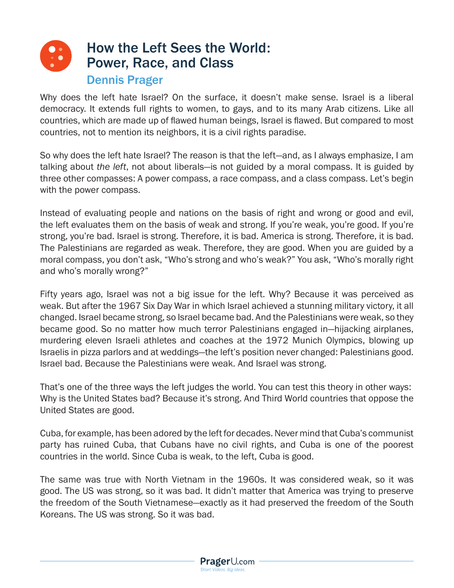

Why does the left hate Israel? On the surface, it doesn't make sense. Israel is a liberal democracy. It extends full rights to women, to gays, and to its many Arab citizens. Like all countries, which are made up of flawed human beings, Israel is flawed. But compared to most countries, not to mention its neighbors, it is a civil rights paradise.

So why does the left hate Israel? The reason is that the left—and, as I always emphasize, I am talking about *the left*, not about liberals—is not guided by a moral compass. It is guided by three other compasses: A power compass, a race compass, and a class compass. Let's begin with the power compass.

Instead of evaluating people and nations on the basis of right and wrong or good and evil, the left evaluates them on the basis of weak and strong. If you're weak, you're good. If you're strong, you're bad. Israel is strong. Therefore, it is bad. America is strong. Therefore, it is bad. The Palestinians are regarded as weak. Therefore, they are good. When you are guided by a moral compass, you don't ask, "Who's strong and who's weak?" You ask, "Who's morally right and who's morally wrong?"

Fifty years ago, Israel was not a big issue for the left. Why? Because it was perceived as weak. But after the 1967 Six Day War in which Israel achieved a stunning military victory, it all changed. Israel became strong, so Israel became bad. And the Palestinians were weak, so they became good. So no matter how much terror Palestinians engaged in—hijacking airplanes, murdering eleven Israeli athletes and coaches at the 1972 Munich Olympics, blowing up Israelis in pizza parlors and at weddings—the left's position never changed: Palestinians good. Israel bad. Because the Palestinians were weak. And Israel was strong.

That's one of the three ways the left judges the world. You can test this theory in other ways: Why is the United States bad? Because it's strong. And Third World countries that oppose the United States are good.

Cuba, for example, has been adored by the left for decades. Never mind that Cuba's communist party has ruined Cuba, that Cubans have no civil rights, and Cuba is one of the poorest countries in the world. Since Cuba is weak, to the left, Cuba is good.

The same was true with North Vietnam in the 1960s. It was considered weak, so it was good. The US was strong, so it was bad. It didn't matter that America was trying to preserve the freedom of the South Vietnamese—exactly as it had preserved the freedom of the South Koreans. The US was strong. So it was bad.